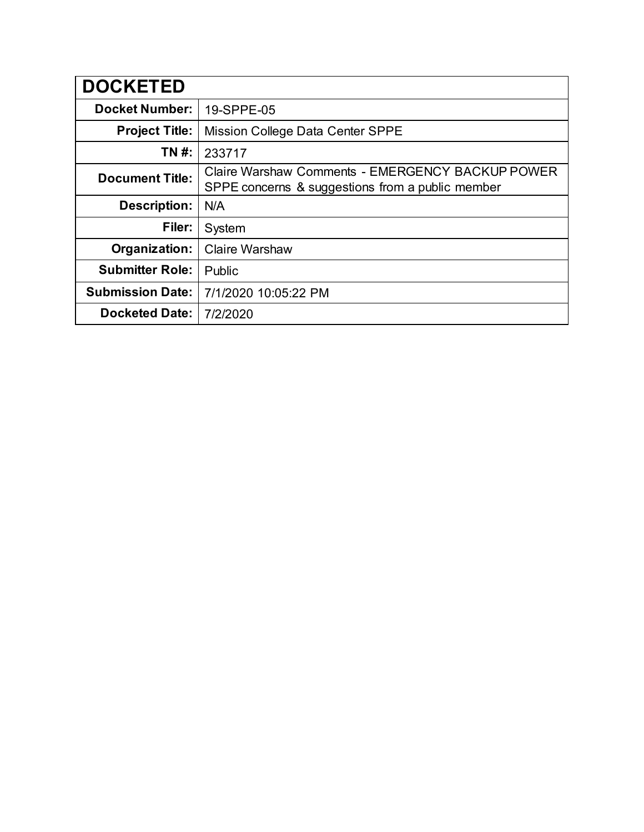| <b>DOCKETED</b>         |                                                                                                      |
|-------------------------|------------------------------------------------------------------------------------------------------|
| <b>Docket Number:</b>   | 19-SPPE-05                                                                                           |
| <b>Project Title:</b>   | Mission College Data Center SPPE                                                                     |
| TN #:                   | 233717                                                                                               |
| <b>Document Title:</b>  | Claire Warshaw Comments - EMERGENCY BACKUP POWER<br>SPPE concerns & suggestions from a public member |
| <b>Description:</b>     | N/A                                                                                                  |
| Filer:                  | System                                                                                               |
| Organization:           | <b>Claire Warshaw</b>                                                                                |
| <b>Submitter Role:</b>  | Public                                                                                               |
| <b>Submission Date:</b> | 7/1/2020 10:05:22 PM                                                                                 |
| <b>Docketed Date:</b>   | 7/2/2020                                                                                             |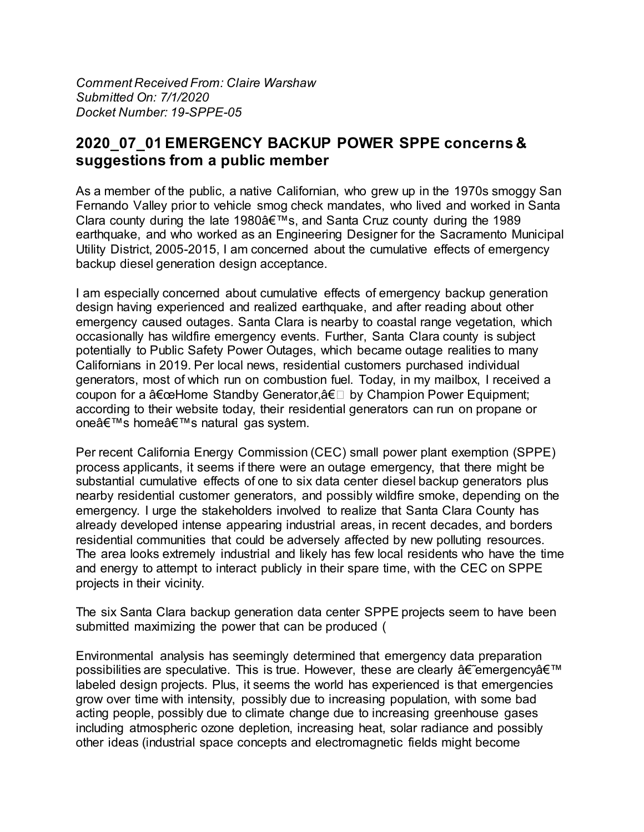*Comment Received From: Claire Warshaw Submitted On: 7/1/2020 Docket Number: 19-SPPE-05*

## **2020\_07\_01 EMERGENCY BACKUP POWER SPPE concerns & suggestions from a public member**

As a member of the public, a native Californian, who grew up in the 1970s smoggy San Fernando Valley prior to vehicle smog check mandates, who lived and worked in Santa Clara county during the late 1980 $\hat{a} \in \mathbb{R}^N$ s, and Santa Cruz county during the 1989 earthquake, and who worked as an Engineering Designer for the Sacramento Municipal Utility District, 2005-2015, I am concerned about the cumulative effects of emergency backup diesel generation design acceptance.

I am especially concerned about cumulative effects of emergency backup generation design having experienced and realized earthquake, and after reading about other emergency caused outages. Santa Clara is nearby to coastal range vegetation, which occasionally has wildfire emergency events. Further, Santa Clara county is subject potentially to Public Safety Power Outages, which became outage realities to many Californians in 2019. Per local news, residential customers purchased individual generators, most of which run on combustion fuel. Today, in my mailbox, I received a coupon for a  $â€ceHome$  Standby Generator, $―$  by Champion Power Equipment; according to their website today, their residential generators can run on propane or one's home's natural gas system.

Per recent California Energy Commission (CEC) small power plant exemption (SPPE) process applicants, it seems if there were an outage emergency, that there might be substantial cumulative effects of one to six data center diesel backup generators plus nearby residential customer generators, and possibly wildfire smoke, depending on the emergency. I urge the stakeholders involved to realize that Santa Clara County has already developed intense appearing industrial areas, in recent decades, and borders residential communities that could be adversely affected by new polluting resources. The area looks extremely industrial and likely has few local residents who have the time and energy to attempt to interact publicly in their spare time, with the CEC on SPPE projects in their vicinity.

The six Santa Clara backup generation data center SPPE projects seem to have been submitted maximizing the power that can be produced (

Environmental analysis has seemingly determined that emergency data preparation possibilities are speculative. This is true. However, these are clearly  $\hat{a} \in \hat{c}$  emergency  $\hat{a} \in \mathbb{N}$ labeled design projects. Plus, it seems the world has experienced is that emergencies grow over time with intensity, possibly due to increasing population, with some bad acting people, possibly due to climate change due to increasing greenhouse gases including atmospheric ozone depletion, increasing heat, solar radiance and possibly other ideas (industrial space concepts and electromagnetic fields might become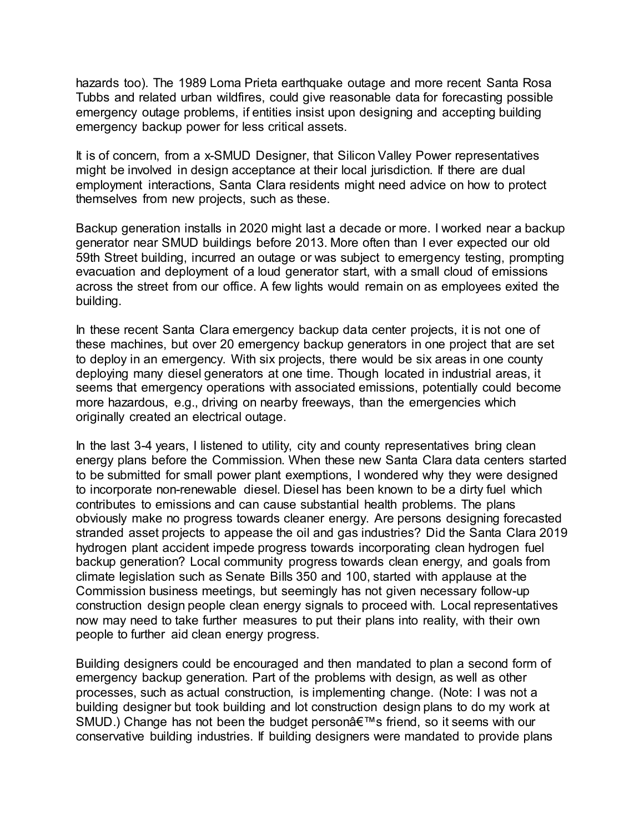hazards too). The 1989 Loma Prieta earthquake outage and more recent Santa Rosa Tubbs and related urban wildfires, could give reasonable data for forecasting possible emergency outage problems, if entities insist upon designing and accepting building emergency backup power for less critical assets.

It is of concern, from a x-SMUD Designer, that Silicon Valley Power representatives might be involved in design acceptance at their local jurisdiction. If there are dual employment interactions, Santa Clara residents might need advice on how to protect themselves from new projects, such as these.

Backup generation installs in 2020 might last a decade or more. I worked near a backup generator near SMUD buildings before 2013. More often than I ever expected our old 59th Street building, incurred an outage or was subject to emergency testing, prompting evacuation and deployment of a loud generator start, with a small cloud of emissions across the street from our office. A few lights would remain on as employees exited the building.

In these recent Santa Clara emergency backup data center projects, it is not one of these machines, but over 20 emergency backup generators in one project that are set to deploy in an emergency. With six projects, there would be six areas in one county deploying many diesel generators at one time. Though located in industrial areas, it seems that emergency operations with associated emissions, potentially could become more hazardous, e.g., driving on nearby freeways, than the emergencies which originally created an electrical outage.

In the last 3-4 years, I listened to utility, city and county representatives bring clean energy plans before the Commission. When these new Santa Clara data centers started to be submitted for small power plant exemptions, I wondered why they were designed to incorporate non-renewable diesel. Diesel has been known to be a dirty fuel which contributes to emissions and can cause substantial health problems. The plans obviously make no progress towards cleaner energy. Are persons designing forecasted stranded asset projects to appease the oil and gas industries? Did the Santa Clara 2019 hydrogen plant accident impede progress towards incorporating clean hydrogen fuel backup generation? Local community progress towards clean energy, and goals from climate legislation such as Senate Bills 350 and 100, started with applause at the Commission business meetings, but seemingly has not given necessary follow-up construction design people clean energy signals to proceed with. Local representatives now may need to take further measures to put their plans into reality, with their own people to further aid clean energy progress.

Building designers could be encouraged and then mandated to plan a second form of emergency backup generation. Part of the problems with design, as well as other processes, such as actual construction, is implementing change. (Note: I was not a building designer but took building and lot construction design plans to do my work at SMUD.) Change has not been the budget person's friend, so it seems with our conservative building industries. If building designers were mandated to provide plans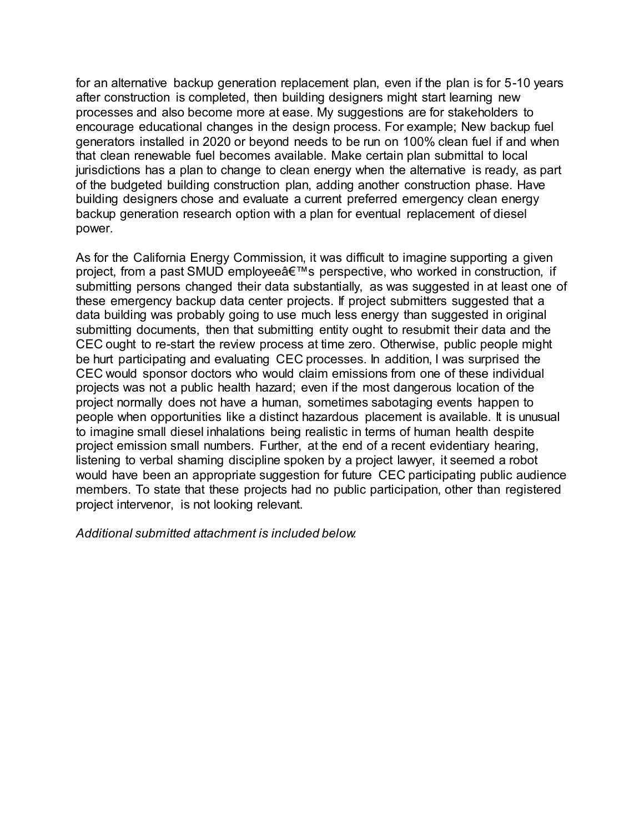for an alternative backup generation replacement plan, even if the plan is for 5-10 years after construction is completed, then building designers might start learning new processes and also become more at ease. My suggestions are for stakeholders to encourage educational changes in the design process. For example; New backup fuel generators installed in 2020 or beyond needs to be run on 100% clean fuel if and when that clean renewable fuel becomes available. Make certain plan submittal to local jurisdictions has a plan to change to clean energy when the alternative is ready, as part of the budgeted building construction plan, adding another construction phase. Have building designers chose and evaluate a current preferred emergency clean energy backup generation research option with a plan for eventual replacement of diesel power.

As for the California Energy Commission, it was difficult to imagine supporting a given project, from a past SMUD employee's perspective, who worked in construction, if submitting persons changed their data substantially, as was suggested in at least one of these emergency backup data center projects. If project submitters suggested that a data building was probably going to use much less energy than suggested in original submitting documents, then that submitting entity ought to resubmit their data and the CEC ought to re-start the review process at time zero. Otherwise, public people might be hurt participating and evaluating CEC processes. In addition, I was surprised the CEC would sponsor doctors who would claim emissions from one of these individual projects was not a public health hazard; even if the most dangerous location of the project normally does not have a human, sometimes sabotaging events happen to people when opportunities like a distinct hazardous placement is available. It is unusual to imagine small diesel inhalations being realistic in terms of human health despite project emission small numbers. Further, at the end of a recent evidentiary hearing, listening to verbal shaming discipline spoken by a project lawyer, it seemed a robot would have been an appropriate suggestion for future CEC participating public audience members. To state that these projects had no public participation, other than registered project intervenor, is not looking relevant.

*Additional submitted attachment is included below.*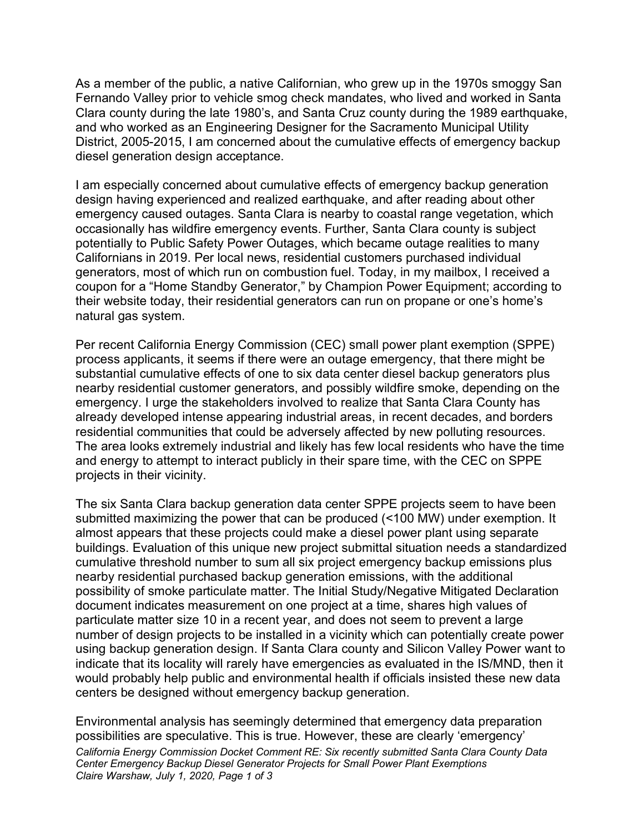As a member of the public, a native Californian, who grew up in the 1970s smoggy San Fernando Valley prior to vehicle smog check mandates, who lived and worked in Santa Clara county during the late 1980's, and Santa Cruz county during the 1989 earthquake, and who worked as an Engineering Designer for the Sacramento Municipal Utility District, 2005-2015, I am concerned about the cumulative effects of emergency backup diesel generation design acceptance.

I am especially concerned about cumulative effects of emergency backup generation design having experienced and realized earthquake, and after reading about other emergency caused outages. Santa Clara is nearby to coastal range vegetation, which occasionally has wildfire emergency events. Further, Santa Clara county is subject potentially to Public Safety Power Outages, which became outage realities to many Californians in 2019. Per local news, residential customers purchased individual generators, most of which run on combustion fuel. Today, in my mailbox, I received a coupon for a "Home Standby Generator," by Champion Power Equipment; according to their website today, their residential generators can run on propane or one's home's natural gas system.

Per recent California Energy Commission (CEC) small power plant exemption (SPPE) process applicants, it seems if there were an outage emergency, that there might be substantial cumulative effects of one to six data center diesel backup generators plus nearby residential customer generators, and possibly wildfire smoke, depending on the emergency. I urge the stakeholders involved to realize that Santa Clara County has already developed intense appearing industrial areas, in recent decades, and borders residential communities that could be adversely affected by new polluting resources. The area looks extremely industrial and likely has few local residents who have the time and energy to attempt to interact publicly in their spare time, with the CEC on SPPE projects in their vicinity.

The six Santa Clara backup generation data center SPPE projects seem to have been submitted maximizing the power that can be produced (<100 MW) under exemption. It almost appears that these projects could make a diesel power plant using separate buildings. Evaluation of this unique new project submittal situation needs a standardized cumulative threshold number to sum all six project emergency backup emissions plus nearby residential purchased backup generation emissions, with the additional possibility of smoke particulate matter. The Initial Study/Negative Mitigated Declaration document indicates measurement on one project at a time, shares high values of particulate matter size 10 in a recent year, and does not seem to prevent a large number of design projects to be installed in a vicinity which can potentially create power using backup generation design. If Santa Clara county and Silicon Valley Power want to indicate that its locality will rarely have emergencies as evaluated in the IS/MND, then it would probably help public and environmental health if officials insisted these new data centers be designed without emergency backup generation.

*California Energy Commission Docket Comment RE: Six recently submitted Santa Clara County Data Center Emergency Backup Diesel Generator Projects for Small Power Plant Exemptions Claire Warshaw, July 1, 2020, Page 1 of 3* Environmental analysis has seemingly determined that emergency data preparation possibilities are speculative. This is true. However, these are clearly 'emergency'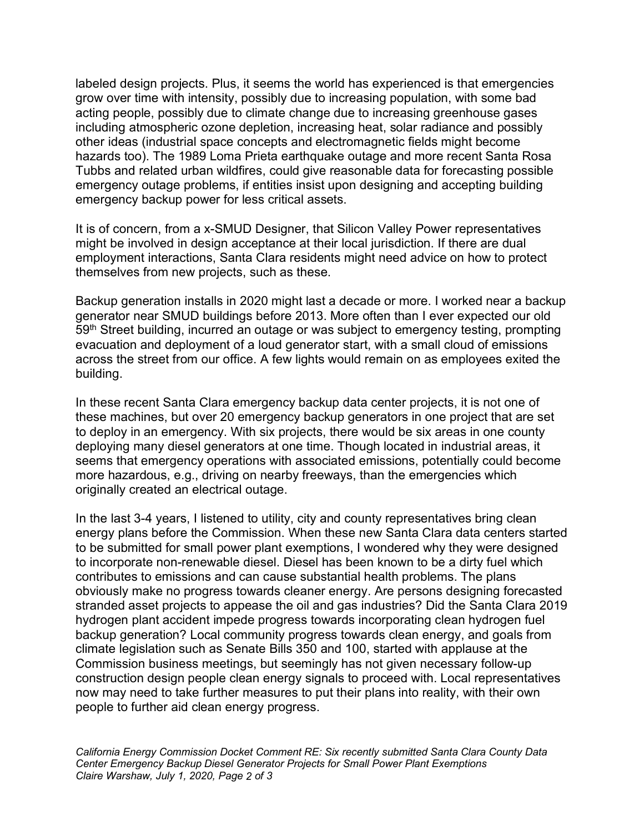labeled design projects. Plus, it seems the world has experienced is that emergencies grow over time with intensity, possibly due to increasing population, with some bad acting people, possibly due to climate change due to increasing greenhouse gases including atmospheric ozone depletion, increasing heat, solar radiance and possibly other ideas (industrial space concepts and electromagnetic fields might become hazards too). The 1989 Loma Prieta earthquake outage and more recent Santa Rosa Tubbs and related urban wildfires, could give reasonable data for forecasting possible emergency outage problems, if entities insist upon designing and accepting building emergency backup power for less critical assets.

It is of concern, from a x-SMUD Designer, that Silicon Valley Power representatives might be involved in design acceptance at their local jurisdiction. If there are dual employment interactions, Santa Clara residents might need advice on how to protect themselves from new projects, such as these.

Backup generation installs in 2020 might last a decade or more. I worked near a backup generator near SMUD buildings before 2013. More often than I ever expected our old 59<sup>th</sup> Street building, incurred an outage or was subject to emergency testing, prompting evacuation and deployment of a loud generator start, with a small cloud of emissions across the street from our office. A few lights would remain on as employees exited the building.

In these recent Santa Clara emergency backup data center projects, it is not one of these machines, but over 20 emergency backup generators in one project that are set to deploy in an emergency. With six projects, there would be six areas in one county deploying many diesel generators at one time. Though located in industrial areas, it seems that emergency operations with associated emissions, potentially could become more hazardous, e.g., driving on nearby freeways, than the emergencies which originally created an electrical outage.

In the last 3-4 years, I listened to utility, city and county representatives bring clean energy plans before the Commission. When these new Santa Clara data centers started to be submitted for small power plant exemptions, I wondered why they were designed to incorporate non-renewable diesel. Diesel has been known to be a dirty fuel which contributes to emissions and can cause substantial health problems. The plans obviously make no progress towards cleaner energy. Are persons designing forecasted stranded asset projects to appease the oil and gas industries? Did the Santa Clara 2019 hydrogen plant accident impede progress towards incorporating clean hydrogen fuel backup generation? Local community progress towards clean energy, and goals from climate legislation such as Senate Bills 350 and 100, started with applause at the Commission business meetings, but seemingly has not given necessary follow-up construction design people clean energy signals to proceed with. Local representatives now may need to take further measures to put their plans into reality, with their own people to further aid clean energy progress.

*California Energy Commission Docket Comment RE: Six recently submitted Santa Clara County Data Center Emergency Backup Diesel Generator Projects for Small Power Plant Exemptions Claire Warshaw, July 1, 2020, Page 2 of 3*